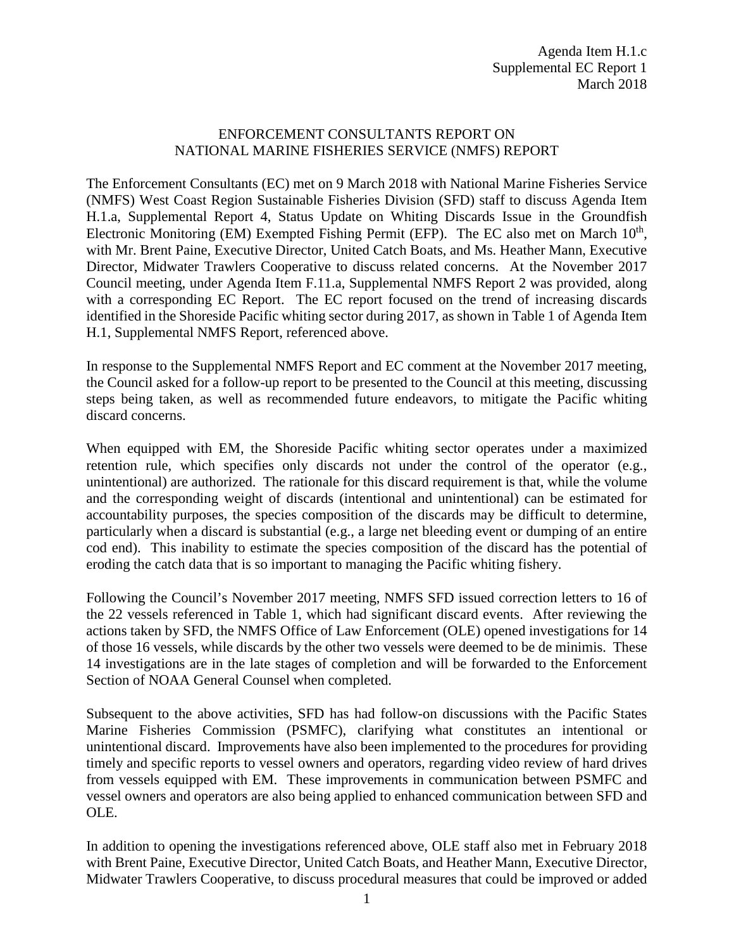## ENFORCEMENT CONSULTANTS REPORT ON NATIONAL MARINE FISHERIES SERVICE (NMFS) REPORT

The Enforcement Consultants (EC) met on 9 March 2018 with National Marine Fisheries Service (NMFS) West Coast Region Sustainable Fisheries Division (SFD) staff to discuss Agenda Item H.1.a, Supplemental Report 4, Status Update on Whiting Discards Issue in the Groundfish Electronic Monitoring (EM) Exempted Fishing Permit (EFP). The EC also met on March  $10<sup>th</sup>$ , with Mr. Brent Paine, Executive Director, United Catch Boats, and Ms. Heather Mann, Executive Director, Midwater Trawlers Cooperative to discuss related concerns. At the November 2017 Council meeting, under Agenda Item F.11.a, Supplemental NMFS Report 2 was provided, along with a corresponding EC Report. The EC report focused on the trend of increasing discards identified in the Shoreside Pacific whiting sector during 2017, as shown in Table 1 of Agenda Item H.1, Supplemental NMFS Report, referenced above.

In response to the Supplemental NMFS Report and EC comment at the November 2017 meeting, the Council asked for a follow-up report to be presented to the Council at this meeting, discussing steps being taken, as well as recommended future endeavors, to mitigate the Pacific whiting discard concerns.

When equipped with EM, the Shoreside Pacific whiting sector operates under a maximized retention rule, which specifies only discards not under the control of the operator (e.g., unintentional) are authorized. The rationale for this discard requirement is that, while the volume and the corresponding weight of discards (intentional and unintentional) can be estimated for accountability purposes, the species composition of the discards may be difficult to determine, particularly when a discard is substantial (e.g., a large net bleeding event or dumping of an entire cod end). This inability to estimate the species composition of the discard has the potential of eroding the catch data that is so important to managing the Pacific whiting fishery.

Following the Council's November 2017 meeting, NMFS SFD issued correction letters to 16 of the 22 vessels referenced in Table 1, which had significant discard events. After reviewing the actions taken by SFD, the NMFS Office of Law Enforcement (OLE) opened investigations for 14 of those 16 vessels, while discards by the other two vessels were deemed to be de minimis. These 14 investigations are in the late stages of completion and will be forwarded to the Enforcement Section of NOAA General Counsel when completed.

Subsequent to the above activities, SFD has had follow-on discussions with the Pacific States Marine Fisheries Commission (PSMFC), clarifying what constitutes an intentional or unintentional discard. Improvements have also been implemented to the procedures for providing timely and specific reports to vessel owners and operators, regarding video review of hard drives from vessels equipped with EM. These improvements in communication between PSMFC and vessel owners and operators are also being applied to enhanced communication between SFD and OLE.

In addition to opening the investigations referenced above, OLE staff also met in February 2018 with Brent Paine, Executive Director, United Catch Boats, and Heather Mann, Executive Director, Midwater Trawlers Cooperative, to discuss procedural measures that could be improved or added